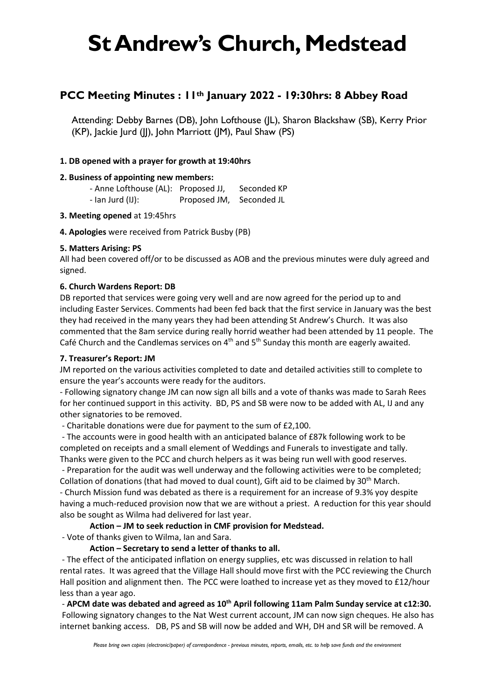### **PCC Meeting Minutes : 11th January 2022 - 19:30hrs: 8 Abbey Road**

Attending: Debby Barnes (DB), John Lofthouse (JL), Sharon Blackshaw (SB), Kerry Prior (KP), Jackie Jurd (JJ), John Marriott (JM), Paul Shaw (PS)

### **1. DB opened with a prayer for growth at 19:40hrs**

### **2. Business of appointing new members:**

- Anne Lofthouse (AL): Proposed JJ, Seconded KP - Ian Jurd (IJ): Proposed JM, Seconded JL

#### **3. Meeting opened** at 19:45hrs

**4. Apologies** were received from Patrick Busby (PB)

#### **5. Matters Arising: PS**

All had been covered off/or to be discussed as AOB and the previous minutes were duly agreed and signed.

#### **6. Church Wardens Report: DB**

DB reported that services were going very well and are now agreed for the period up to and including Easter Services. Comments had been fed back that the first service in January was the best they had received in the many years they had been attending St Andrew's Church. It was also commented that the 8am service during really horrid weather had been attended by 11 people. The Café Church and the Candlemas services on  $4<sup>th</sup>$  and  $5<sup>th</sup>$  Sunday this month are eagerly awaited.

#### **7. Treasurer's Report: JM**

JM reported on the various activities completed to date and detailed activities still to complete to ensure the year's accounts were ready for the auditors.

- Following signatory change JM can now sign all bills and a vote of thanks was made to Sarah Rees for her continued support in this activity. BD, PS and SB were now to be added with AL, IJ and any other signatories to be removed.

- Charitable donations were due for payment to the sum of £2,100.

- The accounts were in good health with an anticipated balance of £87k following work to be completed on receipts and a small element of Weddings and Funerals to investigate and tally. Thanks were given to the PCC and church helpers as it was being run well with good reserves.

- Preparation for the audit was well underway and the following activities were to be completed; Collation of donations (that had moved to dual count), Gift aid to be claimed by 30<sup>th</sup> March. - Church Mission fund was debated as there is a requirement for an increase of 9.3% yoy despite having a much-reduced provision now that we are without a priest. A reduction for this year should also be sought as Wilma had delivered for last year.

### **Action – JM to seek reduction in CMF provision for Medstead.**

- Vote of thanks given to Wilma, Ian and Sara.

#### **Action – Secretary to send a letter of thanks to all.**

- The effect of the anticipated inflation on energy supplies, etc was discussed in relation to hall rental rates. It was agreed that the Village Hall should move first with the PCC reviewing the Church Hall position and alignment then. The PCC were loathed to increase yet as they moved to £12/hour less than a year ago.

- **APCM date was debated and agreed as 10th April following 11am Palm Sunday service at c12:30.** Following signatory changes to the Nat West current account, JM can now sign cheques. He also has internet banking access. DB, PS and SB will now be added and WH, DH and SR will be removed. A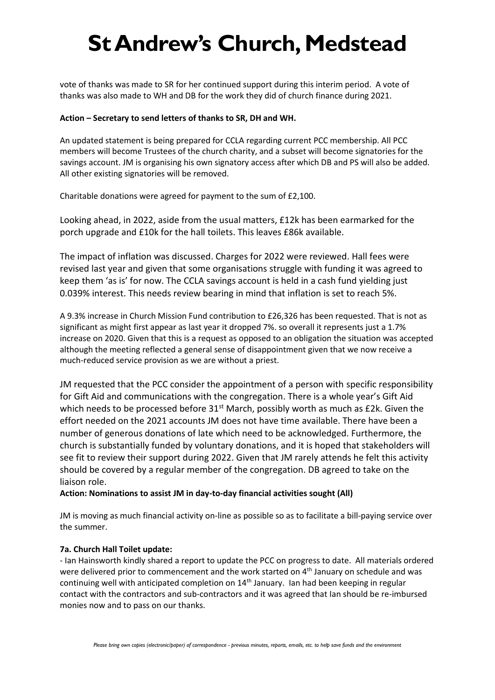vote of thanks was made to SR for her continued support during this interim period. A vote of thanks was also made to WH and DB for the work they did of church finance during 2021.

#### **Action – Secretary to send letters of thanks to SR, DH and WH.**

An updated statement is being prepared for CCLA regarding current PCC membership. All PCC members will become Trustees of the church charity, and a subset will become signatories for the savings account. JM is organising his own signatory access after which DB and PS will also be added. All other existing signatories will be removed.

Charitable donations were agreed for payment to the sum of £2,100.

Looking ahead, in 2022, aside from the usual matters, £12k has been earmarked for the porch upgrade and £10k for the hall toilets. This leaves £86k available.

The impact of inflation was discussed. Charges for 2022 were reviewed. Hall fees were revised last year and given that some organisations struggle with funding it was agreed to keep them 'as is' for now. The CCLA savings account is held in a cash fund yielding just 0.039% interest. This needs review bearing in mind that inflation is set to reach 5%.

A 9.3% increase in Church Mission Fund contribution to £26,326 has been requested. That is not as significant as might first appear as last year it dropped 7%. so overall it represents just a 1.7% increase on 2020. Given that this is a request as opposed to an obligation the situation was accepted although the meeting reflected a general sense of disappointment given that we now receive a much-reduced service provision as we are without a priest.

JM requested that the PCC consider the appointment of a person with specific responsibility for Gift Aid and communications with the congregation. There is a whole year's Gift Aid which needs to be processed before  $31^{st}$  March, possibly worth as much as £2k. Given the effort needed on the 2021 accounts JM does not have time available. There have been a number of generous donations of late which need to be acknowledged. Furthermore, the church is substantially funded by voluntary donations, and it is hoped that stakeholders will see fit to review their support during 2022. Given that JM rarely attends he felt this activity should be covered by a regular member of the congregation. DB agreed to take on the liaison role.

#### **Action: Nominations to assist JM in day-to-day financial activities sought (All)**

JM is moving as much financial activity on-line as possible so as to facilitate a bill-paying service over the summer.

#### **7a. Church Hall Toilet update:**

- Ian Hainsworth kindly shared a report to update the PCC on progress to date. All materials ordered were delivered prior to commencement and the work started on  $4<sup>th</sup>$  January on schedule and was continuing well with anticipated completion on  $14<sup>th</sup>$  January. Ian had been keeping in regular contact with the contractors and sub-contractors and it was agreed that Ian should be re-imbursed monies now and to pass on our thanks.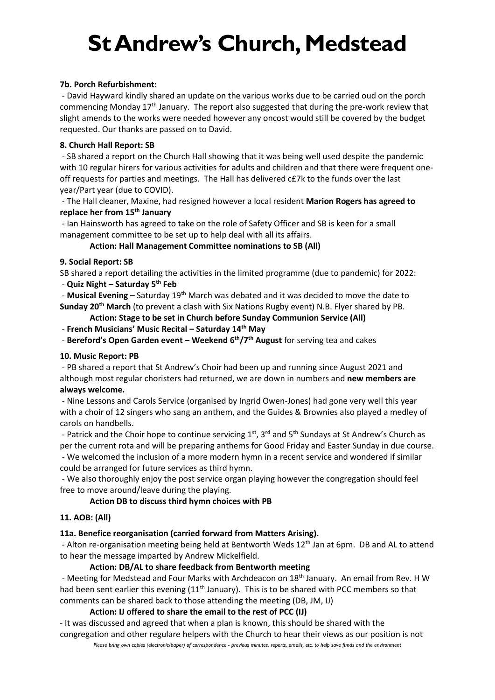#### **7b. Porch Refurbishment:**

- David Hayward kindly shared an update on the various works due to be carried oud on the porch commencing Monday  $17<sup>th</sup>$  January. The report also suggested that during the pre-work review that slight amends to the works were needed however any oncost would still be covered by the budget requested. Our thanks are passed on to David.

#### **8. Church Hall Report: SB**

- SB shared a report on the Church Hall showing that it was being well used despite the pandemic with 10 regular hirers for various activities for adults and children and that there were frequent oneoff requests for parties and meetings. The Hall has delivered c£7k to the funds over the last year/Part year (due to COVID).

- The Hall cleaner, Maxine, had resigned however a local resident **Marion Rogers has agreed to replace her from 15th January**

- Ian Hainsworth has agreed to take on the role of Safety Officer and SB is keen for a small management committee to be set up to help deal with all its affairs.

#### **Action: Hall Management Committee nominations to SB (All)**

#### **9. Social Report: SB**

SB shared a report detailing the activities in the limited programme (due to pandemic) for 2022: - **Quiz Night – Saturday 5th Feb**

- **Musical Evening** – Saturday 19<sup>th</sup> March was debated and it was decided to move the date to **Sunday 20th March** (to prevent a clash with Six Nations Rugby event) N.B. Flyer shared by PB.

**Action: Stage to be set in Church before Sunday Communion Service (All)**

- **French Musicians' Music Recital – Saturday 14th May**

- **Bereford's Open Garden event – Weekend 6th/7th August** for serving tea and cakes

#### **10. Music Report: PB**

- PB shared a report that St Andrew's Choir had been up and running since August 2021 and although most regular choristers had returned, we are down in numbers and **new members are always welcome.**

- Nine Lessons and Carols Service (organised by Ingrid Owen-Jones) had gone very well this year with a choir of 12 singers who sang an anthem, and the Guides & Brownies also played a medley of carols on handbells.

- Patrick and the Choir hope to continue servicing 1<sup>st</sup>, 3<sup>rd</sup> and 5<sup>th</sup> Sundays at St Andrew's Church as per the current rota and will be preparing anthems for Good Friday and Easter Sunday in due course.

- We welcomed the inclusion of a more modern hymn in a recent service and wondered if similar could be arranged for future services as third hymn.

- We also thoroughly enjoy the post service organ playing however the congregation should feel free to move around/leave during the playing.

#### **Action DB to discuss third hymn choices with PB**

#### **11. AOB: (All)**

#### **11a. Benefice reorganisation (carried forward from Matters Arising).**

- Alton re-organisation meeting being held at Bentworth Weds 12<sup>th</sup> Jan at 6pm. DB and AL to attend to hear the message imparted by Andrew Mickelfield.

#### **Action: DB/AL to share feedback from Bentworth meeting**

- Meeting for Medstead and Four Marks with Archdeacon on 18<sup>th</sup> January. An email from Rev. H W had been sent earlier this evening (11<sup>th</sup> January). This is to be shared with PCC members so that comments can be shared back to those attending the meeting (DB, JM, IJ)

#### **Action: IJ offered to share the email to the rest of PCC (IJ)**

- It was discussed and agreed that when a plan is known, this should be shared with the congregation and other regulare helpers with the Church to hear their views as our position is not

*Please bring own copies (electronic/paper) of correspondence - previous minutes, reports, emails, etc. to help save funds and the environment*